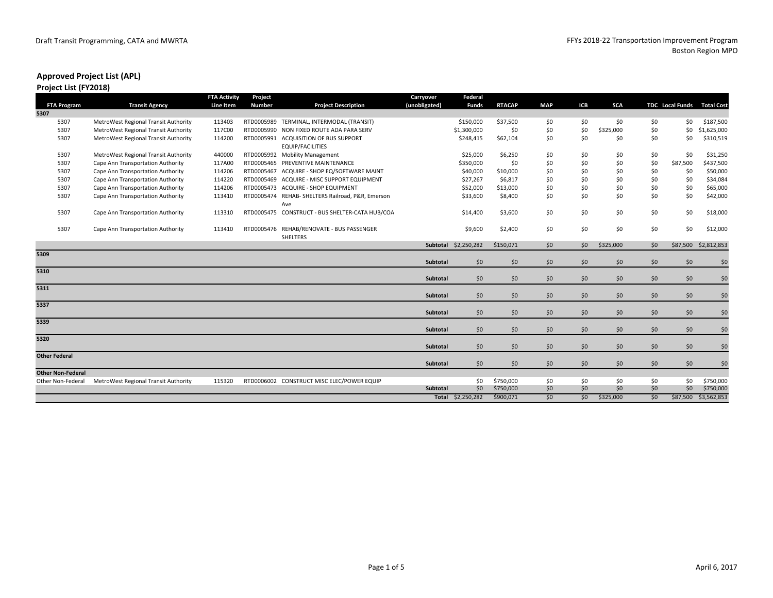#### **Project List (FY2018)**

|                          |                                      | <b>FTA Activity</b> | Project       |                                                                  | Carryover       | Federal           |               |            |     |            |     |                        |                   |
|--------------------------|--------------------------------------|---------------------|---------------|------------------------------------------------------------------|-----------------|-------------------|---------------|------------|-----|------------|-----|------------------------|-------------------|
| <b>FTA Program</b>       | <b>Transit Agency</b>                | Line Item           | <b>Number</b> | <b>Project Description</b>                                       | (unobligated)   | <b>Funds</b>      | <b>RTACAP</b> | <b>MAP</b> | ICB | <b>SCA</b> |     | <b>TDC</b> Local Funds | <b>Total Cost</b> |
| 5307                     |                                      |                     |               |                                                                  |                 |                   |               |            |     |            |     |                        |                   |
| 5307                     | MetroWest Regional Transit Authority | 113403              | RTD0005989    | TERMINAL, INTERMODAL (TRANSIT)                                   |                 | \$150,000         | \$37,500      | \$0        | \$0 | \$0        | \$0 | \$0                    | \$187,500         |
| 5307                     | MetroWest Regional Transit Authority | 117C00              |               | RTD0005990 NON FIXED ROUTE ADA PARA SERV                         |                 | \$1,300,000       | \$0           | \$0        | \$0 | \$325,000  | \$0 | \$0\$                  | \$1,625,000       |
| 5307                     | MetroWest Regional Transit Authority | 114200              |               | RTD0005991 ACQUISITION OF BUS SUPPORT<br><b>EQUIP/FACILITIES</b> |                 | \$248,415         | \$62,104      | \$0        | \$0 | \$0        | \$0 | \$0                    | \$310,519         |
| 5307                     | MetroWest Regional Transit Authority | 440000              |               | RTD0005992 Mobility Management                                   |                 | \$25,000          | \$6,250       | \$0        | \$0 | \$0        | \$0 | \$0                    | \$31,250          |
| 5307                     | Cape Ann Transportation Authority    | 117A00              |               | RTD0005465 PREVENTIVE MAINTENANCE                                |                 | \$350,000         | \$0           | \$0        | \$0 | \$0        | \$0 | \$87,500               | \$437,500         |
| 5307                     | Cape Ann Transportation Authority    | 114206              |               | RTD0005467 ACQUIRE - SHOP EQ/SOFTWARE MAINT                      |                 | \$40,000          | \$10,000      | \$0        | \$0 | \$0        | \$0 | \$0                    | \$50,000          |
| 5307                     | Cape Ann Transportation Authority    | 114220              |               | RTD0005469 ACQUIRE - MISC SUPPORT EQUIPMENT                      |                 | \$27,267          | \$6,817       | \$0        | \$0 | \$0        | \$0 | \$0                    | \$34,084          |
| 5307                     | Cape Ann Transportation Authority    | 114206              |               | RTD0005473 ACQUIRE - SHOP EQUIPMENT                              |                 | \$52,000          | \$13,000      | \$0        | \$0 | \$0        | \$0 | \$0                    | \$65,000          |
| 5307                     | Cape Ann Transportation Authority    | 113410              |               | RTD0005474 REHAB- SHELTERS Railroad, P&R, Emerson<br>Ave         |                 | \$33,600          | \$8,400       | \$0        | \$0 | \$0        | \$0 | \$0                    | \$42,000          |
| 5307                     | Cape Ann Transportation Authority    | 113310              |               | RTD0005475 CONSTRUCT - BUS SHELTER-CATA HUB/COA                  |                 | \$14,400          | \$3,600       | \$0        | \$0 | \$0        | \$0 | \$0                    | \$18,000          |
| 5307                     | Cape Ann Transportation Authority    | 113410              |               | RTD0005476 REHAB/RENOVATE - BUS PASSENGER<br><b>SHELTERS</b>     |                 | \$9,600           | \$2,400       | \$0        | \$0 | \$0        | \$0 | \$0                    | \$12,000          |
|                          |                                      |                     |               |                                                                  | Subtotal        | \$2,250,282       | \$150,071     | \$0        | \$0 | \$325,000  | \$0 | \$87,500               | \$2,812,853       |
| 5309                     |                                      |                     |               |                                                                  | Subtotal        | 50                | \$0           | \$0        | \$0 | \$0        | \$0 | \$0                    | \$0               |
| 5310                     |                                      |                     |               |                                                                  | Subtotal        | \$0               | \$0           | \$0        | \$0 | \$0        | \$0 | \$0                    | \$0               |
| 5311                     |                                      |                     |               |                                                                  | Subtotal        | \$0               | \$0           | \$0        | \$0 | \$0        | \$0 | \$0                    | \$0               |
| 5337                     |                                      |                     |               |                                                                  | <b>Subtotal</b> | \$0               | \$0           | \$0        | \$0 | \$0        | \$0 | \$0                    | \$0               |
| 5339                     |                                      |                     |               |                                                                  | Subtotal        | \$0               | \$0           | \$0        | \$0 | \$0        | \$0 | \$0                    | \$0               |
| 5320                     |                                      |                     |               |                                                                  | Subtotal        | \$0               | \$0           | \$0        | \$0 | \$0        | \$0 | \$0                    | \$0               |
| <b>Other Federal</b>     |                                      |                     |               |                                                                  | Subtotal        | \$0               | \$0           | \$0        | \$0 | \$0        | \$0 | \$0                    | \$0               |
| <b>Other Non-Federal</b> |                                      |                     |               |                                                                  |                 |                   |               |            |     |            |     |                        |                   |
| Other Non-Federal        | MetroWest Regional Transit Authority | 115320              |               | RTD0006002 CONSTRUCT MISC ELEC/POWER EQUIP                       |                 | \$0               | \$750,000     | \$0        | \$0 | \$0        | \$0 | \$0                    | \$750,000         |
|                          |                                      |                     |               |                                                                  | Subtotal        | 50                | \$750,000     | \$0        | \$0 | \$0        | \$0 | \$0                    | \$750,000         |
|                          |                                      |                     |               |                                                                  |                 | Total \$2,250,282 | \$900,071     | \$0        | \$0 | \$325,000  | \$0 | \$87,500               | \$3,562,853       |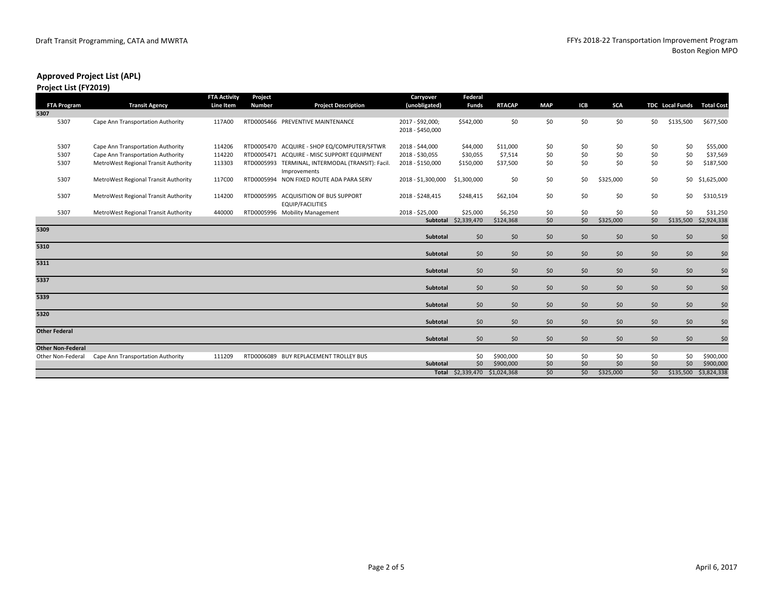#### **Project List (FY2019)**

|                          |                                      | <b>FTA Activity</b> | Project       |                                                                   | <b>Carryover</b>   | Federal              |               |            |       |            |     |                        |                   |
|--------------------------|--------------------------------------|---------------------|---------------|-------------------------------------------------------------------|--------------------|----------------------|---------------|------------|-------|------------|-----|------------------------|-------------------|
| <b>FTA Program</b>       | <b>Transit Agency</b>                | Line Item           | <b>Number</b> | <b>Project Description</b>                                        | (unobligated)      | <b>Funds</b>         | <b>RTACAP</b> | <b>MAP</b> | ICB   | <b>SCA</b> |     | <b>TDC</b> Local Funds | <b>Total Cost</b> |
| 5307                     |                                      |                     |               |                                                                   |                    |                      |               |            |       |            |     |                        |                   |
| 5307                     | Cape Ann Transportation Authority    | 117A00              |               | RTD0005466 PREVENTIVE MAINTENANCE                                 | 2017 - \$92,000;   | \$542,000            | \$0           | \$0        | \$0   | \$0        | \$0 | \$135,500              | \$677,500         |
|                          |                                      |                     |               |                                                                   | 2018 - \$450,000   |                      |               |            |       |            |     |                        |                   |
| 5307                     | Cape Ann Transportation Authority    | 114206              |               | RTD0005470 ACQUIRE - SHOP EQ/COMPUTER/SFTWR                       | 2018 - \$44,000    | \$44,000             | \$11,000      | \$0        | \$0   | \$0        | \$0 | \$0                    | \$55,000          |
| 5307                     | Cape Ann Transportation Authority    | 114220              |               | RTD0005471 ACQUIRE - MISC SUPPORT EQUIPMENT                       | 2018 - \$30,055    | \$30,055             | \$7,514       | \$0        | \$0   | \$0        | \$0 | \$0                    | \$37,569          |
| 5307                     | MetroWest Regional Transit Authority | 113303              |               | RTD0005993 TERMINAL, INTERMODAL (TRANSIT): Facil.<br>Improvements | 2018 - \$150,000   | \$150,000            | \$37,500      | \$0        | \$0   | \$0        | \$0 | \$0                    | \$187,500         |
| 5307                     | MetroWest Regional Transit Authority | 117C00              |               | RTD0005994 NON FIXED ROUTE ADA PARA SERV                          | 2018 - \$1,300,000 | \$1,300,000          | \$0           | \$0        | \$0   | \$325,000  | \$0 | \$0                    | \$1,625,000       |
| 5307                     | MetroWest Regional Transit Authority | 114200              |               | RTD0005995 ACQUISITION OF BUS SUPPORT<br><b>EQUIP/FACILITIES</b>  | 2018 - \$248,415   | \$248,415            | \$62,104      | \$0        | \$0   | \$0        | \$0 | \$0                    | \$310,519         |
| 5307                     | MetroWest Regional Transit Authority | 440000              |               | RTD0005996 Mobility Management                                    | 2018 - \$25,000    | \$25,000             | \$6,250       | \$0        | \$0   | \$0        | \$0 | \$0                    | \$31,250          |
|                          |                                      |                     |               |                                                                   |                    | Subtotal \$2,339,470 | \$124,368     | \$0        | \$0   | \$325,000  | \$0 | \$135,500              | \$2,924,338       |
| 5309                     |                                      |                     |               |                                                                   |                    |                      |               |            |       |            |     |                        |                   |
|                          |                                      |                     |               |                                                                   | Subtotal           | \$0                  | \$0           | \$0        | \$0   | \$0        | \$0 | \$0                    | \$0               |
| 5310                     |                                      |                     |               |                                                                   | Subtotal           | \$0                  | \$0           | \$0        | \$0   | \$0        | \$0 | \$0                    | \$0               |
| 5311                     |                                      |                     |               |                                                                   | Subtotal           | \$0                  | \$0           | \$0        | \$0   | \$0        | \$0 | \$0                    | \$0               |
| 5337                     |                                      |                     |               |                                                                   |                    |                      |               |            |       |            |     |                        |                   |
|                          |                                      |                     |               |                                                                   | Subtotal           | \$0                  | \$0           | \$0        | \$0   | \$0        | \$0 | \$0                    | \$0               |
| 5339                     |                                      |                     |               |                                                                   | Subtotal           | \$0                  | \$0           | \$0        | \$0   | \$0        | \$0 | \$0                    | \$0               |
| 5320                     |                                      |                     |               |                                                                   |                    |                      |               |            |       |            |     |                        |                   |
|                          |                                      |                     |               |                                                                   | Subtotal           | \$0                  | \$0           | \$0        | \$0   | \$0        | \$0 | \$0                    | \$0               |
| <b>Other Federal</b>     |                                      |                     |               |                                                                   | Subtotal           | \$0                  | \$0           | \$0        | \$0   | \$0        | \$0 | \$0                    | \$0               |
| <b>Other Non-Federal</b> |                                      |                     |               |                                                                   |                    |                      |               |            |       |            |     |                        |                   |
| Other Non-Federal        | Cape Ann Transportation Authority    | 111209              |               | RTD0006089 BUY REPLACEMENT TROLLEY BUS                            |                    | \$0                  | \$900,000     | \$0        | \$0   | \$0        | \$0 | \$0                    | \$900,000         |
|                          |                                      |                     |               |                                                                   | <b>Subtotal</b>    | 50                   | \$900,000     | \$0        | \$0   | \$0        | \$0 | \$0                    | \$900,000         |
|                          |                                      |                     |               |                                                                   |                    | Total \$2,339,470    | \$1,024,368   | \$0        | \$0\$ | \$325,000  | \$0 | \$135,500              | \$3,824,338       |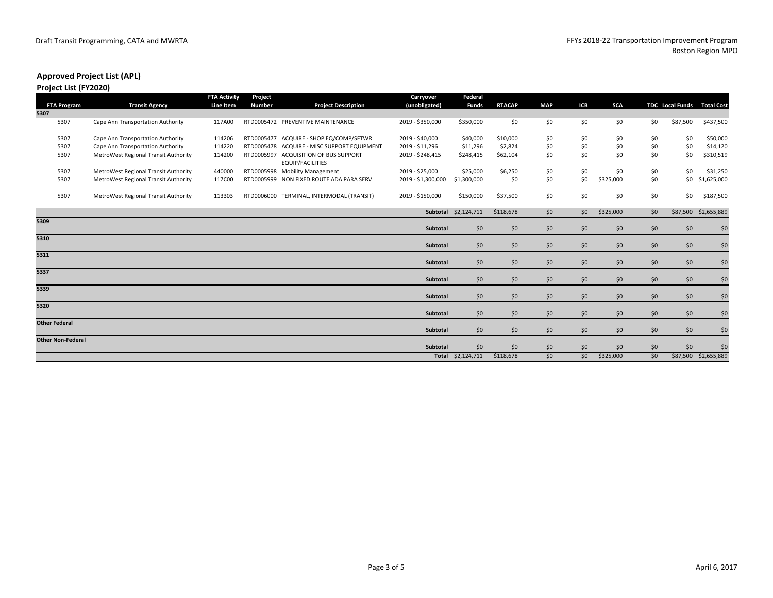#### **Project List (FY2020)**

|                          |                                      | <b>FTA Activity</b> | Project       |                                                              | Carryover          | Federal              |               |            |       |            |       |                        |                   |
|--------------------------|--------------------------------------|---------------------|---------------|--------------------------------------------------------------|--------------------|----------------------|---------------|------------|-------|------------|-------|------------------------|-------------------|
| <b>FTA Program</b>       | <b>Transit Agency</b>                | Line Item           | <b>Number</b> | <b>Project Description</b>                                   | (unobligated)      | <b>Funds</b>         | <b>RTACAP</b> | <b>MAP</b> | ICB   | <b>SCA</b> |       | <b>TDC</b> Local Funds | <b>Total Cost</b> |
| 5307                     |                                      |                     |               |                                                              |                    |                      |               |            |       |            |       |                        |                   |
| 5307                     | Cape Ann Transportation Authority    | 117A00              |               | RTD0005472 PREVENTIVE MAINTENANCE                            | 2019 - \$350,000   | \$350,000            | \$0           | \$0        | \$0   | \$0        | \$0   | \$87,500               | \$437,500         |
| 5307                     | Cape Ann Transportation Authority    | 114206              |               | RTD0005477 ACQUIRE - SHOP EQ/COMP/SFTWR                      | 2019 - \$40,000    | \$40,000             | \$10,000      | \$0        | \$0   | \$0        | \$0   | \$0                    | \$50,000          |
| 5307                     | Cape Ann Transportation Authority    | 114220              |               | RTD0005478 ACQUIRE - MISC SUPPORT EQUIPMENT                  | 2019 - \$11,296    | \$11,296             | \$2,824       | \$0        | \$0   | \$0        | \$0   | \$0                    | \$14,120          |
| 5307                     | MetroWest Regional Transit Authority | 114200              | RTD0005997    | <b>ACQUISITION OF BUS SUPPORT</b><br><b>EQUIP/FACILITIES</b> | 2019 - \$248,415   | \$248,415            | \$62,104      | \$0        | \$0   | \$0        | \$0   | \$0                    | \$310,519         |
| 5307                     | MetroWest Regional Transit Authority | 440000              |               | RTD0005998 Mobility Management                               | 2019 - \$25,000    | \$25,000             | \$6,250       | \$0        | \$0   | \$0        | \$0   | \$0                    | \$31,250          |
| 5307                     | MetroWest Regional Transit Authority | 117C00              | RTD0005999    | NON FIXED ROUTE ADA PARA SERV                                | 2019 - \$1,300,000 | \$1,300,000          | \$0           | \$0        | \$0   | \$325,000  | \$0   | \$0                    | \$1,625,000       |
| 5307                     | MetroWest Regional Transit Authority | 113303              | RTD0006000    | TERMINAL, INTERMODAL (TRANSIT)                               | 2019 - \$150,000   | \$150,000            | \$37,500      | \$0        | \$0   | \$0        | \$0   | \$0                    | \$187,500         |
|                          |                                      |                     |               |                                                              |                    | Subtotal \$2,124,711 | \$118,678     | \$0        | \$0   | \$325,000  | \$0   | \$87,500               | \$2,655,889       |
| 5309                     |                                      |                     |               |                                                              |                    |                      |               |            |       |            |       |                        |                   |
|                          |                                      |                     |               |                                                              | Subtotal           | \$0                  | \$0           | \$0        | \$0   | \$0        | \$0   | \$0                    | \$0               |
| 5310                     |                                      |                     |               |                                                              | Subtotal           | \$0                  | \$0           | \$0        | \$0   | \$0        | \$0   | \$0                    | \$0               |
| 5311                     |                                      |                     |               |                                                              | Subtotal           | \$0                  | \$0           | \$0        | \$0\$ | \$0        | \$0   | \$0                    | \$0               |
| 5337                     |                                      |                     |               |                                                              |                    |                      |               |            |       |            |       |                        |                   |
|                          |                                      |                     |               |                                                              | Subtotal           | \$0                  | \$0           | \$0        | \$0   | \$0        | \$0   | \$0                    | \$0               |
| 5339                     |                                      |                     |               |                                                              | Subtotal           |                      |               |            |       | \$0        | \$0   | \$0                    |                   |
|                          |                                      |                     |               |                                                              |                    | \$0                  | \$0           | \$0        | \$0   |            |       |                        | \$0               |
| 5320                     |                                      |                     |               |                                                              | Subtotal           | \$0                  | \$0           | \$0        | \$0   | \$0        | \$0   | \$0                    | \$0               |
| <b>Other Federal</b>     |                                      |                     |               |                                                              | <b>Subtotal</b>    |                      |               | \$0        |       |            |       |                        |                   |
|                          |                                      |                     |               |                                                              |                    | \$0\$                | \$0           |            | \$0   | \$0        | \$0\$ | \$0                    | \$0               |
| <b>Other Non-Federal</b> |                                      |                     |               |                                                              | Subtotal           | \$0                  | \$0           | \$0        | \$0   | \$0        | \$0   | \$0                    | \$0               |
|                          |                                      |                     |               |                                                              |                    | Total \$2,124,711    | \$118,678     | \$0        | \$0   | \$325,000  | \$0\$ | \$87,500               | \$2,655,889       |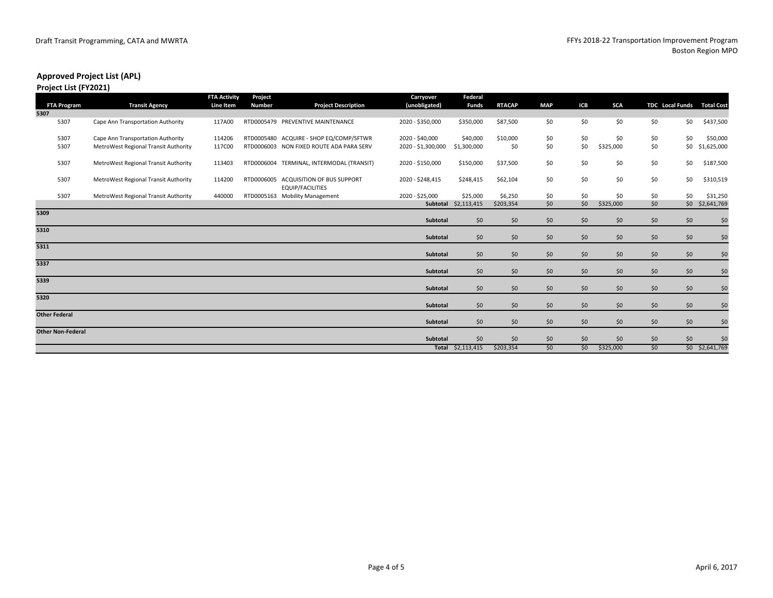#### **Project List (FY2021)**

|                          |                                      | <b>FTA Activity</b> | Project       |                                                       | Carryover          | Federal           |               |            |     |            |     |                        |                   |
|--------------------------|--------------------------------------|---------------------|---------------|-------------------------------------------------------|--------------------|-------------------|---------------|------------|-----|------------|-----|------------------------|-------------------|
| <b>FTA Program</b>       | <b>Transit Agency</b>                | Line Item           | <b>Number</b> | <b>Project Description</b>                            | (unobligated)      | <b>Funds</b>      | <b>RTACAP</b> | <b>MAP</b> | ICB | <b>SCA</b> |     | <b>TDC</b> Local Funds | <b>Total Cost</b> |
| 5307                     |                                      |                     |               |                                                       |                    |                   |               |            |     |            |     |                        |                   |
| 5307                     | Cape Ann Transportation Authority    | 117A00              |               | RTD0005479 PREVENTIVE MAINTENANCE                     | 2020 - \$350,000   | \$350,000         | \$87,500      | \$0        | \$0 | \$0        | \$0 | \$0                    | \$437,500         |
| 5307                     | Cape Ann Transportation Authority    | 114206              |               | RTD0005480 ACQUIRE - SHOP EQ/COMP/SFTWR               | 2020 - \$40,000    | \$40,000          | \$10,000      | \$0        | \$0 | \$0        | \$0 | \$0                    | \$50,000          |
| 5307                     | MetroWest Regional Transit Authority | 117C00              |               | RTD0006003 NON FIXED ROUTE ADA PARA SERV              | 2020 - \$1,300,000 | \$1,300,000       | \$0           | \$0        | \$0 | \$325,000  | \$0 | \$0                    | \$1,625,000       |
| 5307                     | MetroWest Regional Transit Authority | 113403              |               | RTD0006004 TERMINAL, INTERMODAL (TRANSIT)             | 2020 - \$150,000   | \$150,000         | \$37,500      | \$0        | \$0 | \$0        | \$0 | \$0                    | \$187,500         |
| 5307                     | MetroWest Regional Transit Authority | 114200              | RTD0006005    | ACQUISITION OF BUS SUPPORT<br><b>EQUIP/FACILITIES</b> | 2020 - \$248,415   | \$248,415         | \$62,104      | \$0        | \$0 | \$0        | \$0 | \$0                    | \$310,519         |
| 5307                     | MetroWest Regional Transit Authority | 440000              |               | RTD0005163 Mobility Management                        | 2020 - \$25,000    | \$25,000          | \$6,250       | \$0        | \$0 | \$0        | \$0 | \$0                    | \$31,250          |
|                          |                                      |                     |               |                                                       | Subtotal           | \$2,113,415       | \$203,354     | \$0        | \$0 | \$325,000  | \$0 |                        | \$0 \$2,641,769   |
| 5309                     |                                      |                     |               |                                                       | Subtotal           | \$0               | \$0           | \$0        | \$0 | \$0        | \$0 | \$0                    | \$0               |
| 5310                     |                                      |                     |               |                                                       | Subtotal           | \$0               | \$0           | \$0        | \$0 | \$0        | \$0 | \$0                    | \$0               |
| 5311                     |                                      |                     |               |                                                       | Subtotal           | \$0               | \$0           | \$0        | \$0 | \$0        | \$0 | \$0                    | \$0               |
| 5337                     |                                      |                     |               |                                                       |                    |                   |               |            |     |            |     |                        |                   |
|                          |                                      |                     |               |                                                       | Subtotal           | \$0               | \$0           | \$0        | \$0 | \$0        | \$0 | \$0                    | \$0               |
| 5339                     |                                      |                     |               |                                                       | Subtotal           | \$0               | \$0           | \$0        | \$0 | \$0        | \$0 | \$0                    | \$0               |
| 5320                     |                                      |                     |               |                                                       | Subtotal           | \$0               | \$0           | \$0        | \$0 | \$0        | \$0 | \$0                    | \$0               |
| <b>Other Federal</b>     |                                      |                     |               |                                                       | Subtotal           | \$0               | \$0           | \$0        | \$0 | \$0        | \$0 | \$0                    | \$0               |
| <b>Other Non-Federal</b> |                                      |                     |               |                                                       |                    |                   |               |            |     |            |     |                        |                   |
|                          |                                      |                     |               |                                                       | Subtotal           | \$0               | \$0           | \$0        | \$0 | \$0        | \$0 | \$0                    | \$0               |
|                          |                                      |                     |               |                                                       |                    | Total \$2,113,415 | \$203,354     | \$0        | \$0 | \$325,000  | \$0 |                        | \$0 \$2,641,769   |